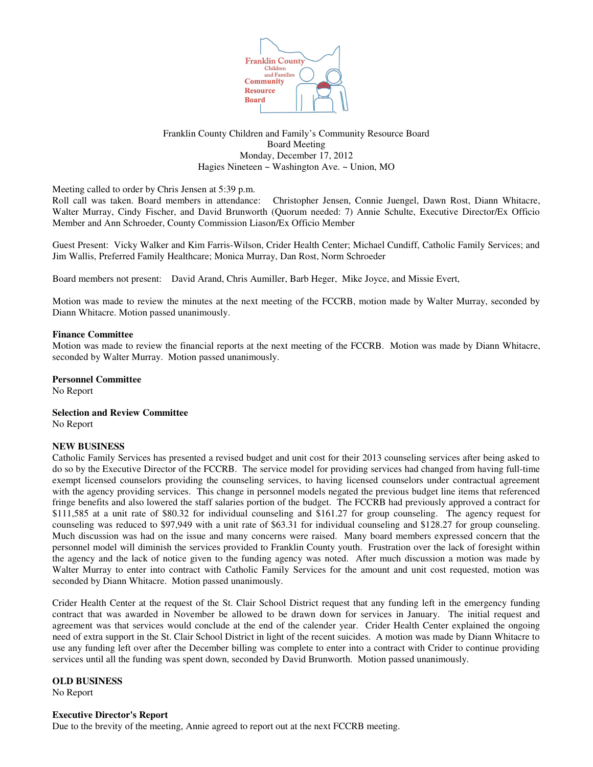

## Franklin County Children and Family's Community Resource Board Board Meeting Monday, December 17, 2012 Hagies Nineteen ~ Washington Ave. ~ Union, MO

Meeting called to order by Chris Jensen at 5:39 p.m.

Roll call was taken. Board members in attendance: Christopher Jensen, Connie Juengel, Dawn Rost, Diann Whitacre, Walter Murray, Cindy Fischer, and David Brunworth (Quorum needed: 7) Annie Schulte, Executive Director/Ex Officio Member and Ann Schroeder, County Commission Liason/Ex Officio Member

Guest Present: Vicky Walker and Kim Farris-Wilson, Crider Health Center; Michael Cundiff, Catholic Family Services; and Jim Wallis, Preferred Family Healthcare; Monica Murray, Dan Rost, Norm Schroeder

Board members not present: David Arand, Chris Aumiller, Barb Heger, Mike Joyce, and Missie Evert,

Motion was made to review the minutes at the next meeting of the FCCRB, motion made by Walter Murray, seconded by Diann Whitacre. Motion passed unanimously.

## **Finance Committee**

Motion was made to review the financial reports at the next meeting of the FCCRB. Motion was made by Diann Whitacre, seconded by Walter Murray. Motion passed unanimously.

**Personnel Committee**

No Report

**Selection and Review Committee** No Report

# **NEW BUSINESS**

Catholic Family Services has presented a revised budget and unit cost for their 2013 counseling services after being asked to do so by the Executive Director of the FCCRB. The service model for providing services had changed from having full-time exempt licensed counselors providing the counseling services, to having licensed counselors under contractual agreement with the agency providing services. This change in personnel models negated the previous budget line items that referenced fringe benefits and also lowered the staff salaries portion of the budget. The FCCRB had previously approved a contract for \$111,585 at a unit rate of \$80.32 for individual counseling and \$161.27 for group counseling. The agency request for counseling was reduced to \$97,949 with a unit rate of \$63.31 for individual counseling and \$128.27 for group counseling. Much discussion was had on the issue and many concerns were raised. Many board members expressed concern that the personnel model will diminish the services provided to Franklin County youth. Frustration over the lack of foresight within the agency and the lack of notice given to the funding agency was noted. After much discussion a motion was made by Walter Murray to enter into contract with Catholic Family Services for the amount and unit cost requested, motion was seconded by Diann Whitacre. Motion passed unanimously.

Crider Health Center at the request of the St. Clair School District request that any funding left in the emergency funding contract that was awarded in November be allowed to be drawn down for services in January. The initial request and agreement was that services would conclude at the end of the calender year. Crider Health Center explained the ongoing need of extra support in the St. Clair School District in light of the recent suicides. A motion was made by Diann Whitacre to use any funding left over after the December billing was complete to enter into a contract with Crider to continue providing services until all the funding was spent down, seconded by David Brunworth. Motion passed unanimously.

**OLD BUSINESS**

No Report

#### **Executive Director's Report**

Due to the brevity of the meeting, Annie agreed to report out at the next FCCRB meeting.